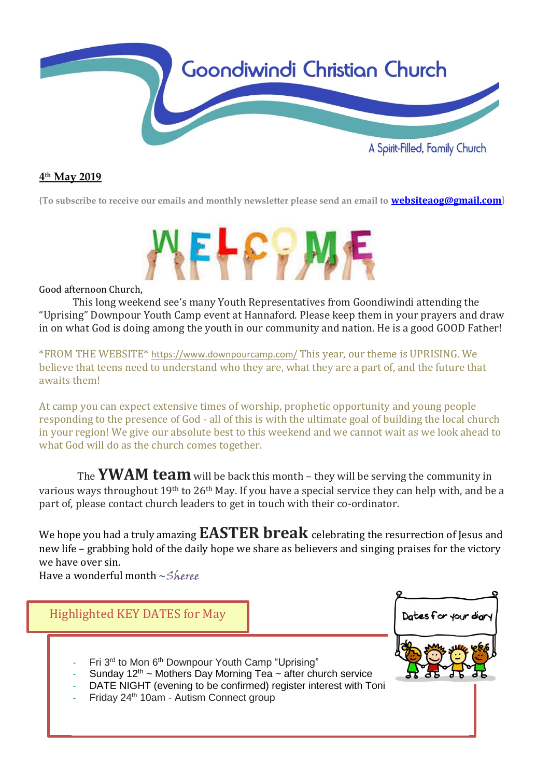

## **4 th May 2019**

**{To subscribe to receive our emails and monthly newsletter please send an email to [websiteaog@gmail.com](mailto:websiteaog@gmail.com)}**



Good afternoon Church,

This long weekend see's many Youth Representatives from Goondiwindi attending the "Uprising" Downpour Youth Camp event at Hannaford. Please keep them in your prayers and draw in on what God is doing among the youth in our community and nation. He is a good GOOD Father!

\*FROM THE WEBSITE\* <https://www.downpourcamp.com/> This year, our theme is UPRISING. We believe that teens need to understand who they are, what they are a part of, and the future that awaits them!

At camp you can expect extensive times of worship, prophetic opportunity and young people responding to the presence of God - all of this is with the ultimate goal of building the local church in your region! We give our absolute best to this weekend and we cannot wait as we look ahead to what God will do as the church comes together.

The **YWAM team** will be back this month – they will be serving the community in various ways throughout 19th to 26th May. If you have a special service they can help with, and be a part of, please contact church leaders to get in touch with their co-ordinator.

We hope you had a truly amazing **EASTER break** celebrating the resurrection of Jesus and new life – grabbing hold of the daily hope we share as believers and singing praises for the victory we have over sin.

Have a wonderful month  $\sim$ Sheree